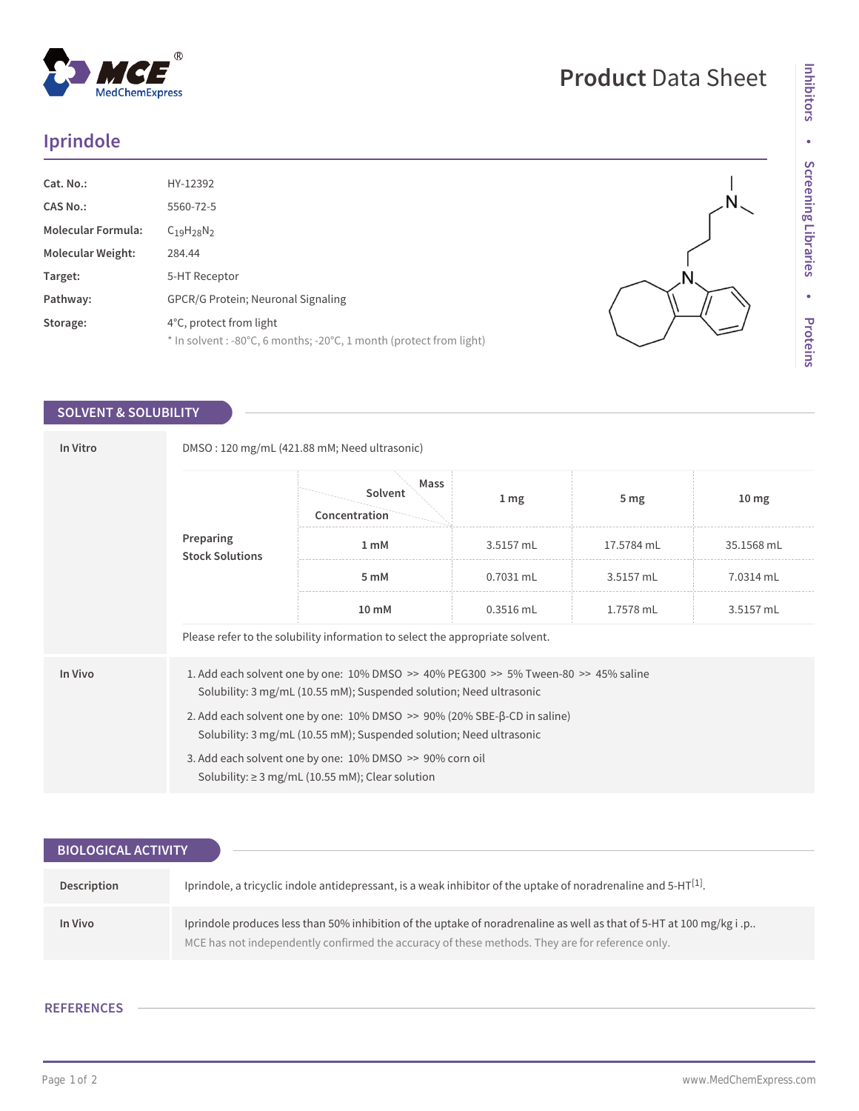## **Iprindole**

 $^{\circledR}$ 

MedChemExpress

| Cat. No.:                 | HY-12392                                                                                         |
|---------------------------|--------------------------------------------------------------------------------------------------|
| <b>CAS No.:</b>           | 5560-72-5                                                                                        |
| <b>Molecular Formula:</b> | $C_{19}H_{28}N_{2}$                                                                              |
| <b>Molecular Weight:</b>  | 284.44                                                                                           |
| Target:                   | 5-HT Receptor                                                                                    |
| Pathway:                  | <b>GPCR/G Protein: Neuronal Signaling</b>                                                        |
| Storage:                  | 4°C, protect from light<br>$*$ In solvent : -80°C, 6 months; -20°C, 1 month (protect from light) |

## **SOLVENT & SOLUBILITY**

| In Vitro | DMSO: 120 mg/mL (421.88 mM; Need ultrasonic)                                                                                                                           |                                  |                 |                 |                  |  |  |
|----------|------------------------------------------------------------------------------------------------------------------------------------------------------------------------|----------------------------------|-----------------|-----------------|------------------|--|--|
|          | Preparing<br><b>Stock Solutions</b>                                                                                                                                    | Mass<br>Solvent<br>Concentration | 1 <sub>mg</sub> | 5 <sub>mg</sub> | 10 <sub>mg</sub> |  |  |
|          |                                                                                                                                                                        | 1 <sub>m</sub> M                 | 3.5157 mL       | 17.5784 mL      | 35.1568 mL       |  |  |
|          |                                                                                                                                                                        | 5 mM                             | $0.7031$ mL     | 3.5157 mL       | 7.0314 mL        |  |  |
|          |                                                                                                                                                                        | 10 mM                            | $0.3516$ mL     | 1.7578 mL       | 3.5157 mL        |  |  |
|          | Please refer to the solubility information to select the appropriate solvent.                                                                                          |                                  |                 |                 |                  |  |  |
| In Vivo  | 1. Add each solvent one by one: $10\%$ DMSO $\gg$ 40% PEG300 $\gg$ 5% Tween-80 $\gg$ 45% saline<br>Solubility: 3 mg/mL (10.55 mM); Suspended solution; Need ultrasonic |                                  |                 |                 |                  |  |  |
|          | 2. Add each solvent one by one: $10\%$ DMSO $\geq$ 90% (20% SBE- $\beta$ -CD in saline)<br>Solubility: 3 mg/mL (10.55 mM); Suspended solution; Need ultrasonic         |                                  |                 |                 |                  |  |  |
|          | 3. Add each solvent one by one: 10% DMSO >> 90% corn oil<br>Solubility: $\geq$ 3 mg/mL (10.55 mM); Clear solution                                                      |                                  |                 |                 |                  |  |  |

| <b>BIOLOGICAL ACTIVITY</b> |                                                                                                                                                                                                                        |
|----------------------------|------------------------------------------------------------------------------------------------------------------------------------------------------------------------------------------------------------------------|
|                            |                                                                                                                                                                                                                        |
| Description                | Iprindole, a tricyclic indole antidepressant, is a weak inhibitor of the uptake of noradrenaline and 5-HT $[1]$ .                                                                                                      |
| In Vivo                    | Iprindole produces less than 50% inhibition of the uptake of noradrenaline as well as that of 5-HT at 100 mg/kg i.p<br>MCE has not independently confirmed the accuracy of these methods. They are for reference only. |

## **REFERENCES**

 $\overline{1}$ N